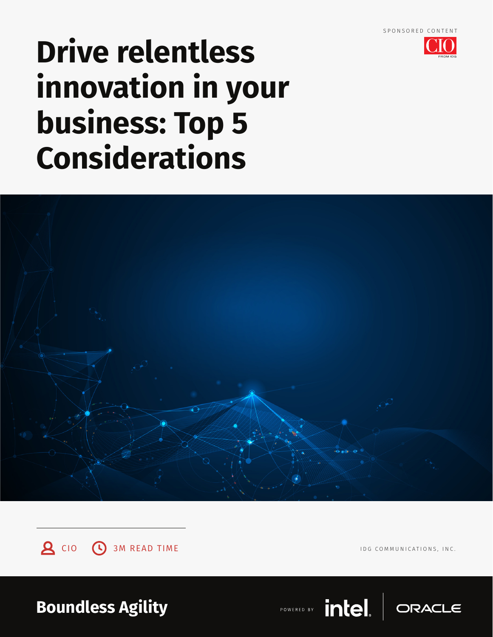

# **Drive relentless innovation in your business: Top 5 Considerations**





IDG COMMUNICATIONS, INC.

**Boundless Agility**

POWERED BY

intel.

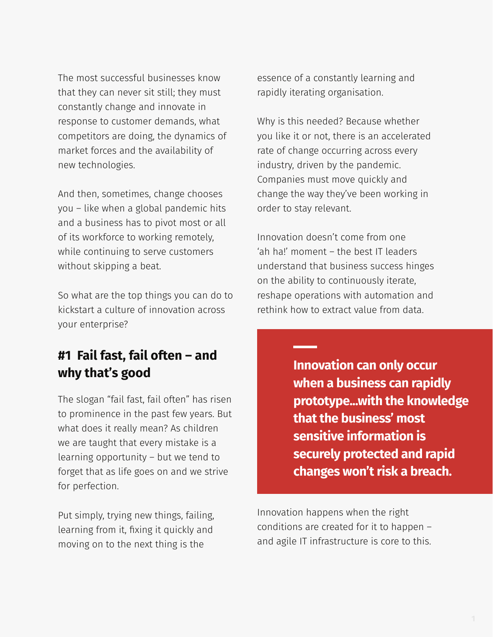The most successful businesses know that they can never sit still; they must constantly change and innovate in response to customer demands, what competitors are doing, the dynamics of market forces and the availability of new technologies.

And then, sometimes, change chooses you – like when a global pandemic hits and a business has to pivot most or all of its workforce to working remotely, while continuing to serve customers without skipping a beat.

So what are the top things you can do to kickstart a culture of innovation across your enterprise?

## **#1 Fail fast, fail often – and why that's good**

The slogan "fail fast, fail often" has risen to prominence in the past few years. But what does it really mean? As children we are taught that every mistake is a learning opportunity – but we tend to forget that as life goes on and we strive for perfection.

Put simply, trying new things, failing, learning from it, fixing it quickly and moving on to the next thing is the

essence of a constantly learning and rapidly iterating organisation.

Why is this needed? Because whether you like it or not, there is an accelerated rate of change occurring across every industry, driven by the pandemic. Companies must move quickly and change the way they've been working in order to stay relevant.

Innovation doesn't come from one 'ah ha!' moment – the best IT leaders understand that business success hinges on the ability to continuously iterate, reshape operations with automation and rethink how to extract value from data.

> **Innovation can only occur when a business can rapidly prototype...with the knowledge that the business' most sensitive information is securely protected and rapid changes won't risk a breach.**

Innovation happens when the right conditions are created for it to happen – and agile IT infrastructure is core to this.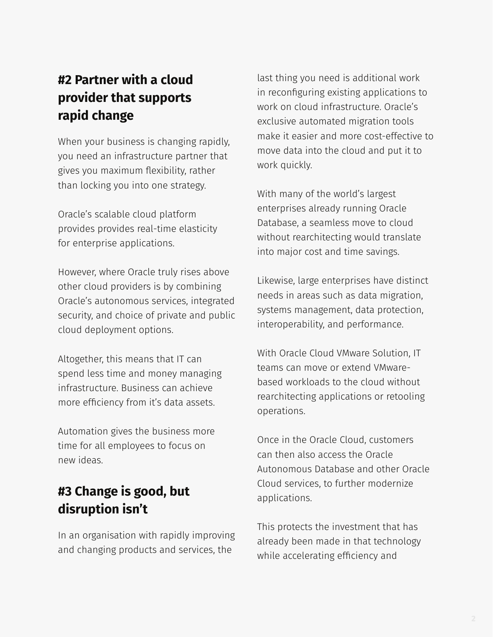## **#2 Partner with a cloud provider that supports rapid change**

When your business is changing rapidly, you need an infrastructure partner that gives you maximum flexibility, rather than locking you into one strategy.

Oracle's scalable cloud platform provides provides real-time elasticity for enterprise applications.

However, where Oracle truly rises above other cloud providers is by combining Oracle's autonomous services, integrated security, and choice of private and public cloud deployment options.

Altogether, this means that IT can spend less time and money managing infrastructure. Business can achieve more efficiency from it's data assets.

Automation gives the business more time for all employees to focus on new ideas.

## **#3 Change is good, but disruption isn't**

In an organisation with rapidly improving and changing products and services, the

last thing you need is additional work in reconfiguring existing applications to work on cloud infrastructure. Oracle's exclusive automated migration tools make it easier and more cost-effective to move data into the cloud and put it to work quickly.

With many of the world's largest enterprises already running Oracle Database, a seamless move to cloud without rearchitecting would translate into major cost and time savings.

Likewise, large enterprises have distinct needs in areas such as data migration, systems management, data protection, interoperability, and performance.

With Oracle Cloud VMware Solution, IT teams can move or extend VMwarebased workloads to the cloud without rearchitecting applications or retooling operations.

Once in the Oracle Cloud, customers can then also access the Oracle Autonomous Database and other Oracle Cloud services, to further modernize applications.

This protects the investment that has already been made in that technology while accelerating efficiency and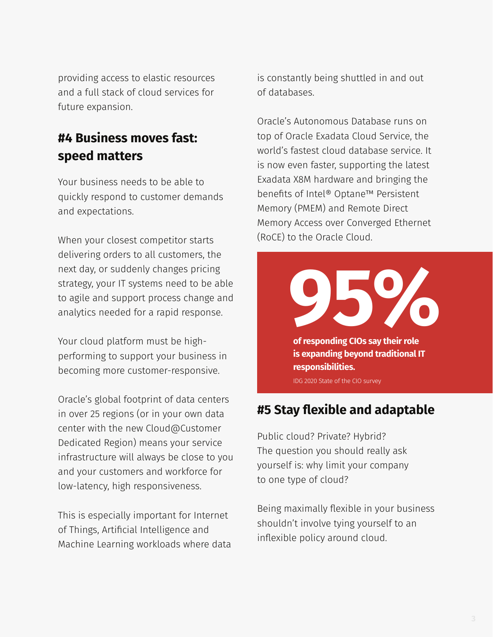providing access to elastic resources and a full stack of cloud services for future expansion.

#### **#4 Business moves fast: speed matters**

Your business needs to be able to quickly respond to customer demands and expectations.

When your closest competitor starts delivering orders to all customers, the next day, or suddenly changes pricing strategy, your IT systems need to be able to agile and support process change and analytics needed for a rapid response.

Your cloud platform must be highperforming to support your business in becoming more customer-responsive.

Oracle's global footprint of data centers in over 25 regions (or in your own data center with the new Cloud@Customer Dedicated Region) means your service infrastructure will always be close to you and your customers and workforce for low-latency, high responsiveness.

This is especially important for Internet of Things, Artificial Intelligence and Machine Learning workloads where data is constantly being shuttled in and out of databases.

Oracle's Autonomous Database runs on top of Oracle Exadata Cloud Service, the world's fastest cloud database service. It is now even faster, supporting the latest Exadata X8M hardware and bringing the benefits of Intel® Optane™ Persistent Memory (PMEM) and Remote Direct Memory Access over Converged Ethernet (RoCE) to the Oracle Cloud.

> **of responding CIOs say their role is expanding beyond traditional IT responsibilities. 95%**

IDG 2020 State of the CIO survey

#### **#5 Stay flexible and adaptable**

Public cloud? Private? Hybrid? The question you should really ask yourself is: why limit your company to one type of cloud?

Being maximally flexible in your business shouldn't involve tying yourself to an inflexible policy around cloud.